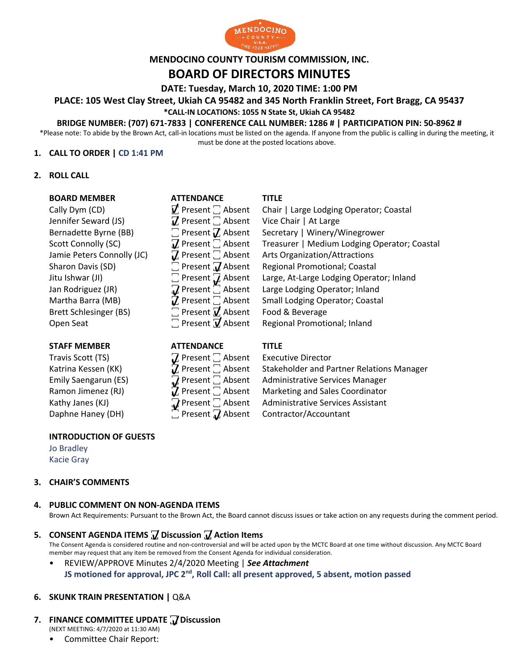

# **MENDOCINO COUNTY TOURISM COMMISSION, INC.**

## **BOARD OF DIRECTORS MINUTES**

**DATE: Tuesday, March 10, 2020 TIME: 1:00 PM**

**PLACE: 105 West Clay Street, Ukiah CA 95482 and 345 North Franklin Street, Fort Bragg, CA 95437**

### **\*CALL-IN LOCATIONS: 1055 N State St, Ukiah CA 95482**

### **BRIDGE NUMBER: (707) 671-7833 | CONFERENCE CALL NUMBER: 1286 # | PARTICIPATION PIN: 50-8962 #**

\*Please note: To abide by the Brown Act, call-in locations must be listed on the agenda. If anyone from the public is calling in during the meeting, it must be done at the posted locations above.

### **1. CALL TO ORDER | CD 1:41 PM**

### **2. ROLL CALL**

### **BOARD MEMBER ATTENDANCE TITLE**

Jennifer Seward (JS)  $\mathcal{J}$  Present  $\Box$  Absent Vice Chair | At Large Bernadette Byrne (BB)  $\Box$  Present  $\mathcal{J}$  Absent Secretary | Winery/V Brett Schlesinger (BS)  $\Box$  Present  $\overline{V}$  Absent Food & Beverage

### **STAFF MEMBER ATTENDANCE TITLE**

**INTRODUCTION OF GUESTS** Jo Bradley

Kacie Gray

### **3. CHAIR'S COMMENTS**

### **4. PUBLIC COMMENT ON NON-AGENDA ITEMS**

Brown Act Requirements: Pursuant to the Brown Act, the Board cannot discuss issues or take action on any requests during the comment period.

### **5. CONSENT AGENDA ITEMS ꙱ Discussion ꙱ Action Items**

The Consent Agenda is considered routine and non-controversial and will be acted upon by the MCTC Board at one time without discussion. Any MCTC Board member may request that any item be removed from the Consent Agenda for individual consideration.

### • REVIEW/APPROVE Minutes 2/4/2020 Meeting | *See Attachment* **JS motioned for approval, JPC 2nd, Roll Call: all present approved, 5 absent, motion passed**

### **6. SKUNK TRAIN PRESENTATION |** Q&A

### **7. FINANCE COMMITTEE UPDATE ꙱ Discussion**

(NEXT MEETING: 4/7/2020 at 11:30 AM)

• Committee Chair Report:

Cally Dym (CD)  $\vec{V}$  Present  $\Box$  Absent Chair | Large Lodging Operator; Coastal Bernadette Byrne (BB)  $\Box$  Present  $\Box$  Absent Secretary | Winery/Winegrower Scott Connolly (SC)  $\vec{V}$  Present  $\vec{\ }$  Absent Treasurer | Medium Lodging Operator; Coastal Jamie Peters Connolly (JC)  $\vec{V}$  Present  $\vec{\ }$  Absent Arts Organization/Attractions Jamie Peters Connolly (JC)  $\qquad \qquad \mathbf{Z}$  Present  $\Box$  Absent Arts Organization/Attractions Sharon Davis (SD)  $\Box$  Present  $\Box$  Absent Regional Promotional; Coastal Jitu Ishwar (JI)  $\Box$  Present  $\Box$  Absent Large, At-Large Lodging Operator; Inland Jan Rodriguez (JR)  **<sub>M</sub>** Present  $\sum$  Absent Large Lodging Operator; Inland Martha Barra (MB)  $\vec{J}$  Present  $\vec{a}$  Absent Small Lodging Operator; Coastal Open Seat **T** Present **7** Absent Regional Promotional; Inland

| SIAFF MEMBER         | <b>AIIENDANCE</b>                                       | 1111F |
|----------------------|---------------------------------------------------------|-------|
| Travis Scott (TS)    | $\mathbf Z$ Present $\Box$ Absent Executive Director    |       |
| Katrina Kessen (KK)  | $\bar{u}$ Present $\Box$ Absent Stakeholder and Pa      |       |
| Emily Saengarun (ES) | $\Omega$ Present $\Box$ Absent Administrative Ser       |       |
| Ramon Jimenez (RJ)   | $\overline{J}$ Present $\Box$ Absent Marketing and Sale |       |
| Kathy Janes (KJ)     | $\Omega$ Present $\Box$ Absent Administrative Ser       |       |
| Daphne Haney (DH)    | Present 7 Absent Contractor/Accour                      |       |

Katrina Kessen (KK) **7**, Present and Stakeholder and Partner Relations Manager Emily Saengarun (ES)  $\bigcup_{n=1}^{\infty}$  Present  $\bigcup_{n=1}^{\infty}$  Absent Administrative Services Manager Ramon Jimenez (RJ)  $\vec{J}$ , Present  $\vec{a}$ , Absent Marketing and Sales Coordinator Kathy Janes (KJ) **We Common Contrative Services** Assistant Daphne Haney (DH) **Daphne Haney (DH)** Present *J*, Absent Contractor/Accountant